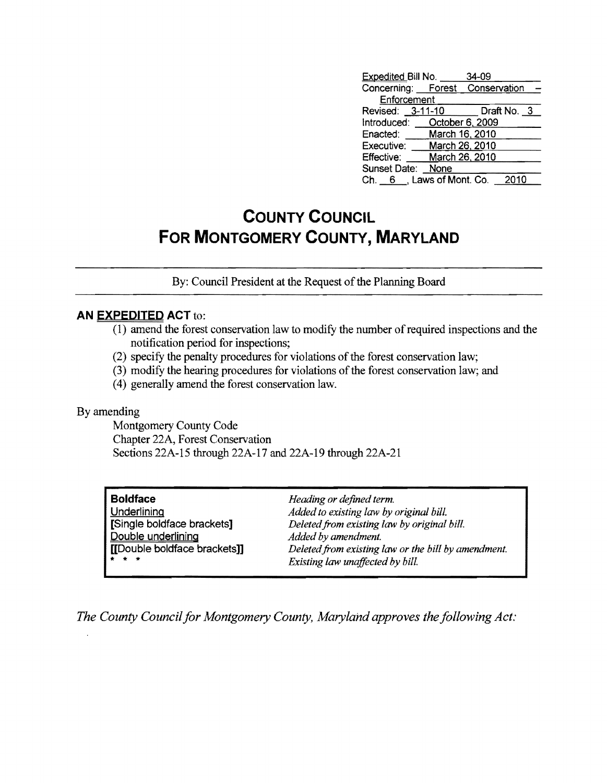| <b>Expedited Bill No.</b>       |      | 34-09          |             |  |
|---------------------------------|------|----------------|-------------|--|
| Concerning: Forest Conservation |      |                |             |  |
| Enforcement                     |      |                |             |  |
| Revised: 3-11-10                |      |                | Draft No. 3 |  |
| Introduced: October 6, 2009     |      |                |             |  |
| Enacted:                        |      | March 16, 2010 |             |  |
| Executive:                      |      | March 26, 2010 |             |  |
| Effective:                      |      | March 26, 2010 |             |  |
| Sunset Date:                    | None |                |             |  |
| Ch. 6 , Laws of Mont. Co.       |      |                | 2010        |  |

# **COUNTY COUNCIL FOR MONTGOMERY COUNTY, MARYLAND**

By: Council President at the Request of the Planning Board

### **AN EXPEDITED ACT** to:

- $(1)$  amend the forest conservation law to modify the number of required inspections and the notification period for inspections;
- (2) specify the penalty procedures for violations of the forest conservation law;
- (3) modify the hearing procedures for violations of the forest conservation law; and
- (4) generally amend the forest conservation law.

#### By amending

Montgomery County Code Chapter 22A, Forest Conservation Sections 22A-15 through 22A-17 and 22A-19 through 22A-21

| l Boldface                   | Heading or defined term.                            |
|------------------------------|-----------------------------------------------------|
| Underlining                  | Added to existing law by original bill.             |
| [Single boldface brackets]   | Deleted from existing law by original bill.         |
| Double underlining           | Added by amendment.                                 |
| [[Double boldface brackets]] | Deleted from existing law or the bill by amendment. |
| $* * *$                      | Existing law unaffected by bill.                    |

*The County Council for Montgomery County, Maryland approves the following Act:*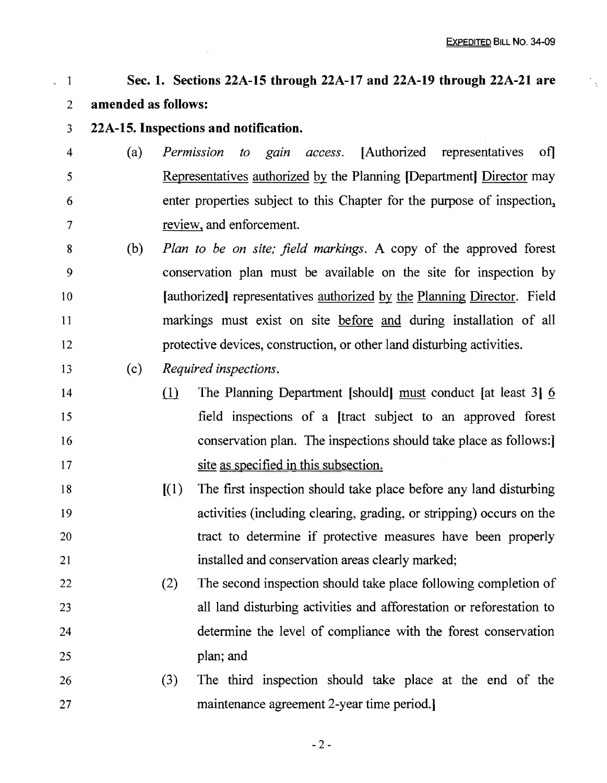#### 1 2 Sec. 1. Sections 22A-15 through 22A-17 and 22A-19 through 22A-21 are amended as follows:

3 22A-15. Inspections and notification.

 $\overline{a}$ 

- 4 5 6 7 (a) *Permission to gain access*. [Authorized representatives of] Representatives authorized by the Planning [Department] Director may enter properties subject to this Chapter for the purpose of inspection. review, and enforcement.
- 8 9 10 11 12 (b) *Plan to be on site; field markings.* A copy of the approved forest conservation plan must be available on the site for inspection by [authorized] representatives authorized by the Planning Director. Field markings must exist on site before and during installation of all protective devices, construction, or other land disturbing activities.
- 13 (c) *Required inspections.*
- 14 15 16 17 (1) The Planning Department [should] must conduct [at least 3]  $\overline{6}$ field inspections of a [tract subject to an approved forest conservation plan. The inspections should take place as follows:] site as specified in this subsection.
- 18 19 20 21  $[(1)$  The first inspection should take place before any land disturbing activities (including clearing, grading, or stripping) occurs on the tract to determine if protective measures have been properly installed and conservation areas clearly marked;
- 22 23 24 25 (2) The second inspection should take place following completion of all land disturbing activities and afforestation or reforestation to determine the level of compliance with the forest conservation plan; and
- 26 27 (3) The third inspection should take place at the end of the maintenance agreement 2-year time period.]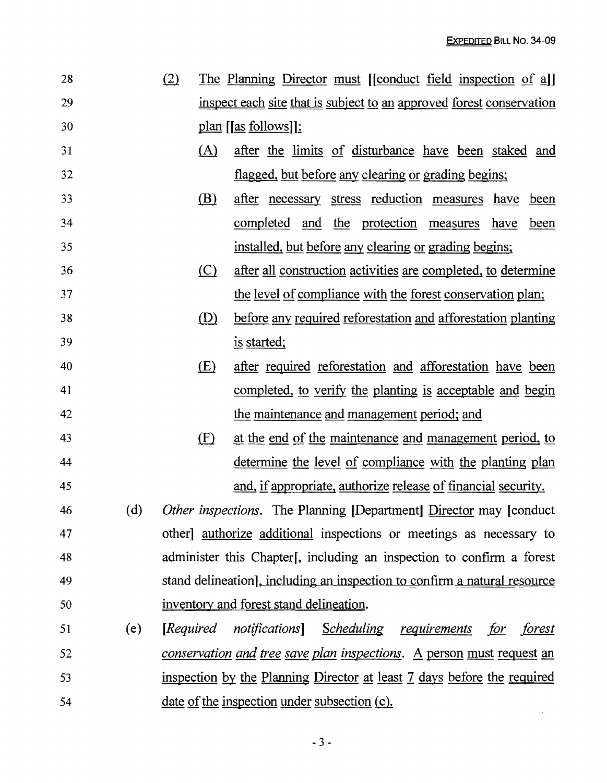| 28 |     | (2)     | The Planning Director must [Conduct field inspection of a]]                  |
|----|-----|---------|------------------------------------------------------------------------------|
| 29 |     |         | inspect each site that is subject to an approved forest conservation         |
| 30 |     |         | $plan$ [[as follows]]:                                                       |
| 31 |     | (A)     | after the limits of disturbance have been staked and                         |
| 32 |     |         | flagged, but before any clearing or grading begins;                          |
| 33 |     | (B)     | after necessary stress reduction measures have been                          |
| 34 |     |         | <u>completed</u> and the protection measures have<br><u>been</u>             |
| 35 |     |         | installed, but before any clearing or grading begins;                        |
| 36 |     | $\circ$ | after all construction activities are completed, to determine                |
| 37 |     |         | the level of compliance with the forest conservation plan;                   |
| 38 |     | (D)     | before any required reforestation and afforestation planting                 |
| 39 |     |         | is started;                                                                  |
| 40 |     | (E)     | after required reforestation and afforestation have been                     |
| 41 |     |         | completed, to verify the planting is acceptable and begin                    |
| 42 |     |         | the maintenance and management period; and                                   |
| 43 |     | (F)     | at the end of the maintenance and management period, to                      |
| 44 |     |         | <u>determine the level of compliance with the planting plan</u>              |
| 45 |     |         | and, if appropriate, authorize release of financial security.                |
| 46 |     |         | (d) Other inspections. The Planning [Department] Director may [conduct       |
| 47 |     |         | other] authorize additional inspections or meetings as necessary to          |
| 48 |     |         | administer this Chapter [, including an inspection to confirm a forest       |
| 49 |     |         | stand delineation], including an inspection to confirm a natural resource    |
| 50 |     |         | inventory and forest stand delineation.                                      |
| 51 | (e) |         | [Required notifications] Scheduling requirements<br>for<br>forest            |
| 52 |     |         | <u>conservation and tree save plan inspections. A person must request an</u> |
| 53 |     |         | inspection by the Planning Director at least 7 days before the required      |
| 54 |     |         | <u>date of the inspection under subsection (c).</u>                          |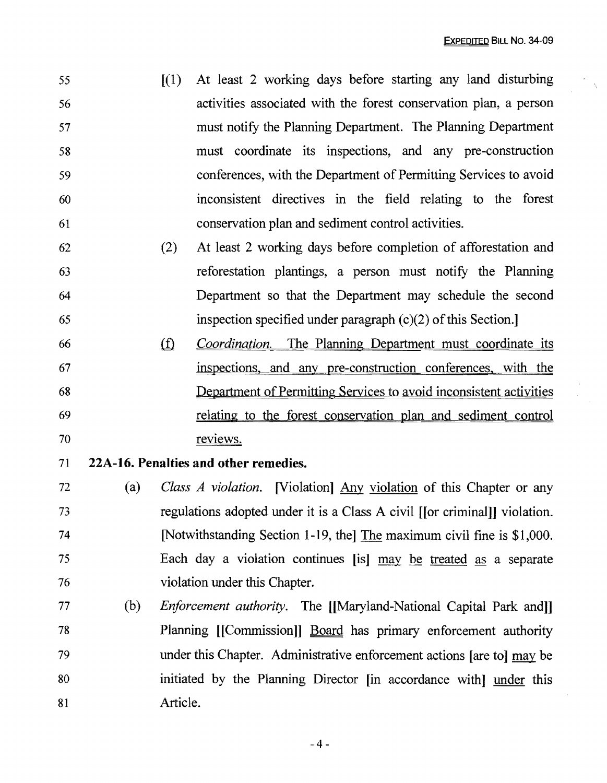| 55 | $(1)$ At least 2 working days before starting any land disturbing |
|----|-------------------------------------------------------------------|
| 56 | activities associated with the forest conservation plan, a person |
| 57 | must notify the Planning Department. The Planning Department      |
| 58 | must coordinate its inspections, and any pre-construction         |
| 59 | conferences, with the Department of Permitting Services to avoid  |
| 60 | inconsistent directives in the field relating to the forest       |
| 61 | conservation plan and sediment control activities.                |

- 62 (2) At least 2 working days before completion of afforestation and 63 reforestation plantings, a person must notify the Planning 64 Department so that the Department may schedule the second 65 inspection specified under paragraph  $(c)(2)$  of this Section.
- <sup>66</sup>ill *Coordination.* The Planning Department must coordinate its 67 inspectiops. and any pre-construction conferences. with the 68 Department of Permitting Services to avoid inconsistent activities 69 relating to the forest conservation plan and sediment control 70 reviews.
- 71 **22A-16. Penalties and other remedies.**
- <sup>72</sup>(a) *Class A violation.* [Violation] Any violation of this Chapter or any 73 regulations adopted under it is a Class A civil [[or criminal]] violation. 74 [Notwithstanding Section 1-19, the The maximum civil fine is \$1,000. 75 Each day a violation continues [is] may be treated as a separate 76 violation under this Chapter.
- 77 (b) *Enforcement authority.* The [[Maryland-National Capital Park and]] 78 Planning [[Commission]] Board has primary enforcement authority 79 under this Chapter. Administrative enforcement actions [are to] may be 80 initiated by the Planning Director [in accordance with] under this 81 Article.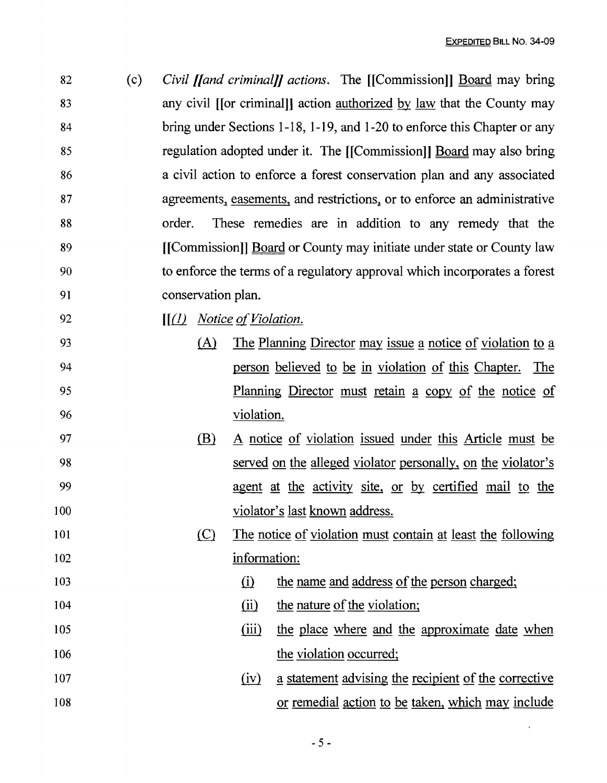$\sim 10^{11}$ 

| 82  | (c) |                             |              | <i>Civil [[and criminal]] actions.</i> The [[Commission]] <b>Board</b> may bring     |
|-----|-----|-----------------------------|--------------|--------------------------------------------------------------------------------------|
| 83  |     |                             |              | any civil [[or criminal]] action <u>authorized</u> by <u>law</u> that the County may |
| 84  |     |                             |              | bring under Sections 1-18, 1-19, and 1-20 to enforce this Chapter or any             |
| 85  |     |                             |              | regulation adopted under it. The [[Commission]] Board may also bring                 |
| 86  |     |                             |              | a civil action to enforce a forest conservation plan and any associated              |
| 87  |     |                             |              | agreements, easements, and restrictions, or to enforce an administrative             |
| 88  |     | order.                      |              | These remedies are in addition to any remedy that the                                |
| 89  |     |                             |              | [[Commission]] Board or County may initiate under state or County law                |
| 90  |     |                             |              | to enforce the terms of a regulatory approval which incorporates a forest            |
| 91  |     | conservation plan.          |              |                                                                                      |
| 92  |     | $[(1)$ Notice of Violation. |              |                                                                                      |
| 93  |     | (A)                         |              | The Planning Director may issue a notice of violation to a                           |
| 94  |     |                             |              | person believed to be in violation of this Chapter. The                              |
| 95  |     |                             |              | <u>Planning Director must retain a copy of the notice of</u>                         |
| 96  |     |                             | violation.   |                                                                                      |
| 97  |     | <u>(B)</u>                  |              | A notice of violation issued under this Article must be                              |
| 98  |     |                             |              | served on the alleged violator personally, on the violator's                         |
| 99  |     |                             |              | agent at the activity site, or by certified mail to the                              |
| 100 |     |                             |              | violator's last known address.                                                       |
| 101 |     | <u>(C)</u>                  |              | The notice of violation must contain at least the following                          |
| 102 |     |                             | information: |                                                                                      |
| 103 |     |                             | $\Omega$     | the name and address of the person charged;                                          |
| 104 |     |                             | (ii)         | the nature of the violation;                                                         |
| 105 |     |                             | (iii)        | the place where and the approximate date when                                        |
| 106 |     |                             |              | the violation occurred;                                                              |
| 107 |     |                             | (iv)         | a statement advising the recipient of the corrective                                 |
| 108 |     |                             |              | <u>or remedial action to be taken, which may include</u>                             |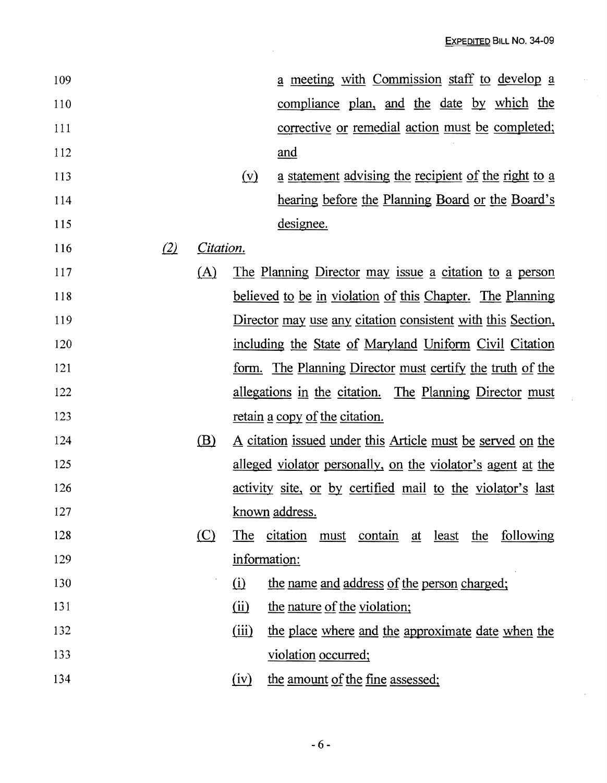$\mathcal{L}_{\mathrm{eff}}$ 

| 109 |     |           |                          | a meeting with Commission staff to develop a                      |
|-----|-----|-----------|--------------------------|-------------------------------------------------------------------|
| 110 |     |           |                          | <u>compliance</u> plan, and the date by which the                 |
| 111 |     |           |                          | corrective or remedial action must be completed;                  |
| 112 |     |           |                          | and                                                               |
| 113 |     |           | $(\underline{v})$        | a statement advising the recipient of the right to a              |
| 114 |     |           |                          | hearing before the Planning Board or the Board's                  |
| 115 |     |           |                          | designee.                                                         |
| 116 | (2) | Citation. |                          |                                                                   |
| 117 |     | (A)       |                          | The Planning Director may issue a citation to a person            |
| 118 |     |           |                          | believed to be in violation of this Chapter. The Planning         |
| 119 |     |           |                          | Director may use any citation consistent with this Section,       |
| 120 |     |           |                          | including the State of Maryland Uniform Civil Citation            |
| 121 |     |           |                          | <u>form. The Planning Director must certify the truth of the</u>  |
| 122 |     |           |                          | <u>allegations in the citation. The Planning Director must</u>    |
| 123 |     |           |                          | retain a copy of the citation.                                    |
| 124 |     | (B)       |                          | <u>A citation issued under this Article must be served on the</u> |
| 125 |     |           |                          | alleged violator personally, on the violator's agent at the       |
| 126 |     |           |                          | activity site, or by certified mail to the violator's last        |
| 127 |     |           |                          | known address.                                                    |
| 128 |     | (C)       | The                      | citation must contain at least the<br>following                   |
| 129 |     |           | information:             |                                                                   |
| 130 |     |           | $\Omega$                 | the name and address of the person charged;                       |
| 131 |     |           | $\overline{(\text{ii})}$ | the nature of the violation;                                      |
| 132 |     |           | (iii)                    | the place where and the approximate date when the                 |
| 133 |     |           |                          | violation occurred;                                               |
| 134 |     |           | (iv)                     | the amount of the fine assessed;                                  |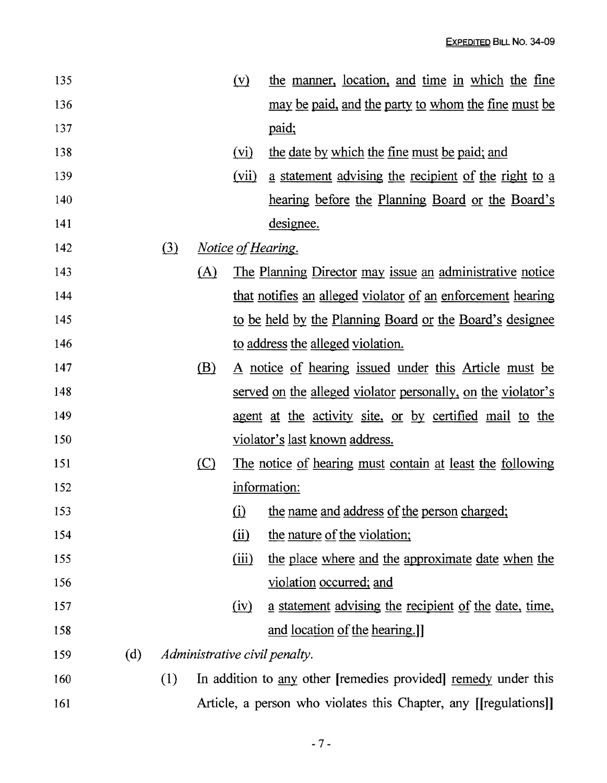| 135 |     |     |     | $(\underline{v})$        | the manner, location, and time in which the fine                 |
|-----|-----|-----|-----|--------------------------|------------------------------------------------------------------|
| 136 |     |     |     |                          | <u>may be paid, and the party to whom the fine must be</u>       |
| 137 |     |     |     |                          | paid;                                                            |
| 138 |     |     |     | (vi)                     | the date by which the fine must be paid; and                     |
| 139 |     |     |     | (vii)                    | a statement advising the recipient of the right to a             |
| 140 |     |     |     |                          | <u>hearing before the Planning Board or the Board's</u>          |
| 141 |     |     |     |                          | designee.                                                        |
| 142 |     | (3) |     |                          | <i>Notice of Hearing.</i>                                        |
| 143 |     |     | (A) |                          | <u>The Planning Director may issue an administrative notice</u>  |
| 144 |     |     |     |                          | that notifies an alleged violator of an enforcement hearing      |
| 145 |     |     |     |                          | to be held by the Planning Board or the Board's designee         |
| 146 |     |     |     |                          | to address the alleged violation.                                |
| 147 |     |     | (B) |                          | A notice of hearing issued under this Article must be            |
| 148 |     |     |     |                          | served on the alleged violator personally, on the violator's     |
| 149 |     |     |     |                          | agent at the activity site, or by certified mail to the          |
| 150 |     |     |     |                          | <u>violator's last known address.</u>                            |
| 151 |     |     | (C) |                          | The notice of hearing must contain at least the following        |
| 152 |     |     |     |                          | information:                                                     |
| 153 |     |     |     |                          | (i) the name and address of the person charged;                  |
| 154 |     |     |     | $\overline{(\text{ii})}$ | the nature of the violation;                                     |
| 155 |     |     |     | (iii)                    | the place where and the approximate date when the                |
| 156 |     |     |     |                          | violation occurred; and                                          |
| 157 |     |     |     | (iv)                     | a statement advising the recipient of the date, time,            |
| 158 |     |     |     |                          | and location of the hearing.]                                    |
| 159 | (d) |     |     |                          | Administrative civil penalty.                                    |
| 160 |     | (1) |     |                          | In addition to any other [remedies provided] remedy under this   |
| 161 |     |     |     |                          | Article, a person who violates this Chapter, any [[regulations]] |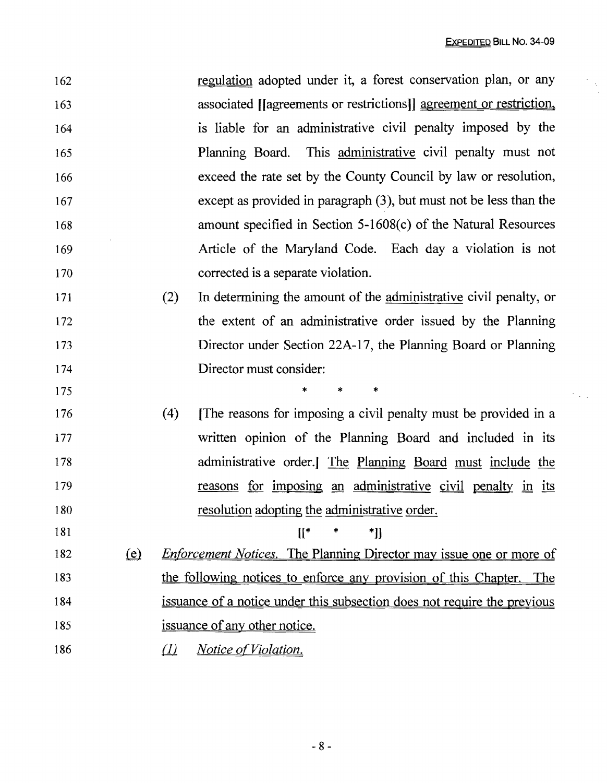$\mathcal{F}_{\text{c}}(\mathcal{L})$ 

| 162 |                              |                                    | regulation adopted under it, a forest conservation plan, or any            |
|-----|------------------------------|------------------------------------|----------------------------------------------------------------------------|
| 163 |                              |                                    | associated [[agreements or restrictions]] agreement or restriction,        |
| 164 |                              |                                    | is liable for an administrative civil penalty imposed by the               |
| 165 |                              |                                    | Planning Board. This administrative civil penalty must not                 |
| 166 |                              |                                    | exceed the rate set by the County Council by law or resolution,            |
| 167 |                              |                                    | except as provided in paragraph $(3)$ , but must not be less than the      |
| 168 |                              |                                    | amount specified in Section 5-1608(c) of the Natural Resources             |
| 169 |                              |                                    | Article of the Maryland Code. Each day a violation is not                  |
| 170 |                              |                                    | corrected is a separate violation.                                         |
| 171 |                              | (2)                                | In determining the amount of the administrative civil penalty, or          |
| 172 |                              |                                    | the extent of an administrative order issued by the Planning               |
| 173 |                              |                                    | Director under Section 22A-17, the Planning Board or Planning              |
| 174 |                              |                                    | Director must consider:                                                    |
| 175 |                              |                                    | $\ast$<br>$\star$<br>*                                                     |
| 176 |                              | (4)                                | The reasons for imposing a civil penalty must be provided in a             |
| 177 |                              |                                    | written opinion of the Planning Board and included in its                  |
| 178 |                              |                                    | administrative order.] The Planning Board must include the                 |
| 179 |                              |                                    | reasons for imposing an administrative civil penalty in its                |
| 180 |                              |                                    | resolution adopting the administrative order.                              |
| 181 |                              |                                    | $\mathbb{I}^*$<br>*]]                                                      |
| 182 | $\left(\underline{e}\right)$ |                                    | <b>Enforcement Notices.</b> The Planning Director may issue one or more of |
| 183 |                              |                                    | the following notices to enforce any provision of this Chapter. The        |
| 184 |                              |                                    | issuance of a notice under this subsection does not require the previous   |
| 185 |                              |                                    | issuance of any other notice.                                              |
| 186 |                              | $\left( \frac{\eta}{\eta} \right)$ | <i>Notice of Violation.</i>                                                |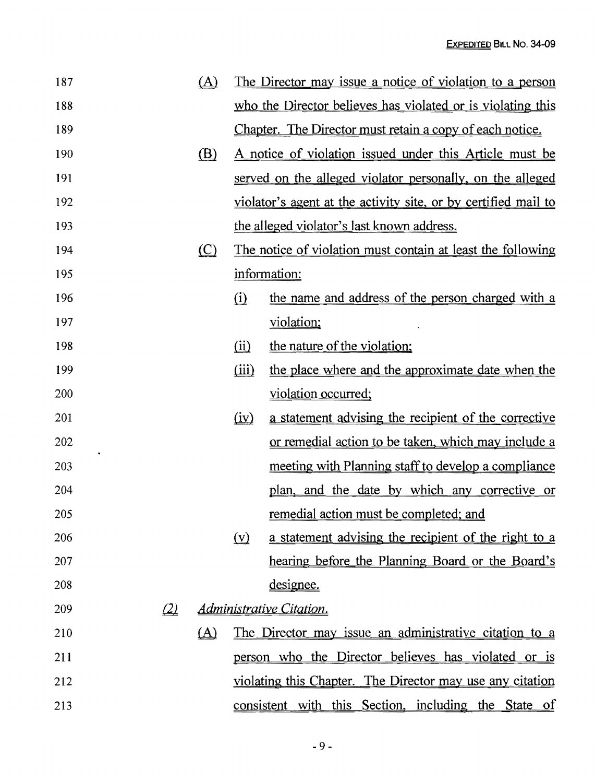|               | $\Delta$     |                               | The Director may issue a notice of violation to a person       |
|---------------|--------------|-------------------------------|----------------------------------------------------------------|
|               |              |                               | who the Director believes has violated or is violating this    |
|               |              |                               | Chapter. The Director must retain a copy of each notice.       |
|               | $\mathbf{B}$ |                               | A notice of violation issued under this Article must be        |
|               |              |                               | served on the alleged violator personally, on the alleged      |
|               |              |                               | violator's agent at the activity site, or by certified mail to |
|               |              |                               | the alleged violator's last known address.                     |
|               | $\circ$      |                               | The notice of violation must contain at least the following    |
|               |              |                               | information:                                                   |
|               |              | $\Omega$                      | the name and address of the person charged with a              |
|               |              |                               | violation;                                                     |
|               |              | $\omega$                      | the nature of the violation;                                   |
|               |              | (iii)                         | the place where and the approximate date when the              |
|               |              |                               | violation occurred;                                            |
|               |              | $\left(\underline{iv}\right)$ | a statement advising the recipient of the corrective           |
|               |              |                               | <u>or remedial action to be taken, which may include a</u>     |
|               |              |                               | meeting with Planning staff to develop a compliance            |
|               |              |                               | plan, and the date by which any corrective or                  |
|               |              |                               | remedial action must be completed; and                         |
|               |              | $(\underline{v})$             | a statement advising the recipient of the right to a           |
|               |              |                               | hearing before the Planning Board or the Board's               |
|               |              |                               | designee.                                                      |
| $\mathcal{Q}$ |              |                               |                                                                |
|               | $\Delta$     |                               | The Director may issue an administrative citation to a         |
|               |              |                               | person who the Director believes has violated or is            |
|               |              |                               | violating this Chapter. The Director may use any citation      |
|               |              |                               | consistent with this Section, including the State of           |
|               |              |                               | <i><u><b>Administrative Citation.</b></u></i>                  |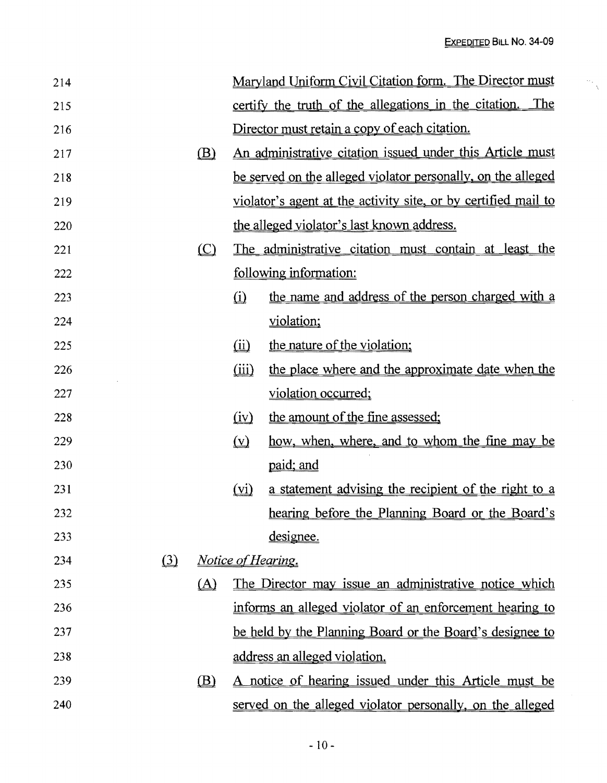$\frac{1}{\sqrt{2}}$ 

| 214 |                              |          |                            | Maryland Uniform Civil Citation form. The Director must        |
|-----|------------------------------|----------|----------------------------|----------------------------------------------------------------|
| 215 |                              |          |                            | certify the truth of the allegations in the citation. The      |
| 216 |                              |          |                            | Director must retain a copy of each citation.                  |
| 217 |                              | (B)      |                            | An administrative citation issued under this Article must      |
| 218 |                              |          |                            | be served on the alleged violator personally, on the alleged   |
| 219 |                              |          |                            | violator's agent at the activity site, or by certified mail to |
| 220 |                              |          |                            | the alleged violator's last known address.                     |
| 221 |                              | $\circ$  |                            | The administrative citation must contain at least the          |
| 222 |                              |          |                            | following information:                                         |
| 223 |                              |          | $\Omega$                   | the name and address of the person charged with a              |
| 224 |                              |          |                            | violation;                                                     |
| 225 |                              |          | $\overline{(\mathbf{ii})}$ | the nature of the violation;                                   |
| 226 |                              |          | (iii)                      | the place where and the approximate date when the              |
| 227 |                              |          |                            | violation occurred;                                            |
| 228 |                              |          | $\overline{(\text{iv})}$   | the amount of the fine assessed;                               |
| 229 |                              |          | $(\underline{v})$          | how, when, where, and to whom the fine may be                  |
| 230 |                              |          |                            | paid; and                                                      |
| 231 |                              |          | (vi)                       | a statement advising the recipient of the right to a           |
| 232 |                              |          |                            | hearing before the Planning Board or the Board's               |
| 233 |                              |          |                            | designee.                                                      |
| 234 | $\left( \frac{3}{2} \right)$ |          |                            | <i>Notice of Hearing.</i>                                      |
| 235 |                              | $\Delta$ |                            | The Director may issue an administrative notice which          |
| 236 |                              |          |                            | informs an alleged violator of an enforcement hearing to       |
| 237 |                              |          |                            | be held by the Planning Board or the Board's designee to       |
| 238 |                              |          |                            | address an alleged violation.                                  |
| 239 |                              | (B)      |                            | A notice of hearing issued under this Article must be          |
| 240 |                              |          |                            | served on the alleged violator personally, on the alleged      |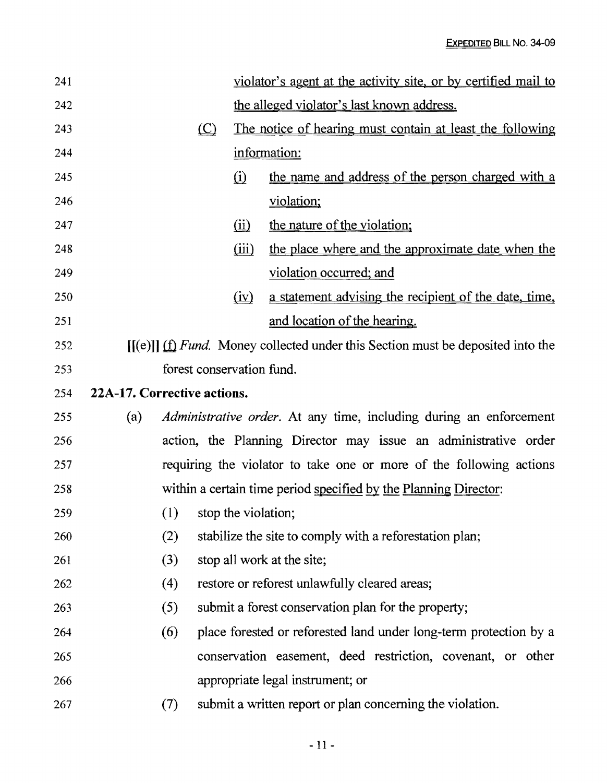| 241 |                             |                           |         |                               | violator's agent at the activity site, or by certified mail to                               |
|-----|-----------------------------|---------------------------|---------|-------------------------------|----------------------------------------------------------------------------------------------|
| 242 |                             |                           |         |                               | the alleged violator's last known address.                                                   |
| 243 |                             |                           | $\circ$ |                               | The notice of hearing must contain at least the following                                    |
| 244 |                             |                           |         |                               | information:                                                                                 |
| 245 |                             |                           |         | $\omega$                      | the name and address of the person charged with a                                            |
| 246 |                             |                           |         |                               | violation;                                                                                   |
| 247 |                             |                           |         | $\omega$                      | the nature of the violation;                                                                 |
| 248 |                             |                           |         | (iii)                         | the place where and the approximate date when the                                            |
| 249 |                             |                           |         |                               | violation occurred; and                                                                      |
| 250 |                             |                           |         | $\left(\underline{iv}\right)$ | a statement advising the recipient of the date, time,                                        |
| 251 |                             |                           |         |                               | and location of the hearing.                                                                 |
| 252 |                             |                           |         |                               | $[(e)]] (\underline{f})$ Fund. Money collected under this Section must be deposited into the |
| 253 |                             | forest conservation fund. |         |                               |                                                                                              |
| 254 | 22A-17. Corrective actions. |                           |         |                               |                                                                                              |
| 255 | (a)                         |                           |         |                               | <i>Administrative order.</i> At any time, including during an enforcement                    |
| 256 |                             |                           |         |                               | action, the Planning Director may issue an administrative order                              |
| 257 |                             |                           |         |                               | requiring the violator to take one or more of the following actions                          |
| 258 |                             |                           |         |                               | within a certain time period specified by the Planning Director:                             |
| 259 |                             | $(1)$ stop the violation; |         |                               |                                                                                              |
| 260 |                             | (2)                       |         |                               | stabilize the site to comply with a reforestation plan;                                      |
| 261 |                             | (3)                       |         |                               | stop all work at the site;                                                                   |
| 262 |                             | (4)                       |         |                               | restore or reforest unlawfully cleared areas;                                                |
| 263 |                             | (5)                       |         |                               | submit a forest conservation plan for the property;                                          |
| 264 |                             | (6)                       |         |                               | place forested or reforested land under long-term protection by a                            |
| 265 |                             |                           |         |                               | conservation easement, deed restriction, covenant, or other                                  |
| 266 |                             |                           |         |                               | appropriate legal instrument; or                                                             |
| 267 |                             | (7)                       |         |                               | submit a written report or plan concerning the violation.                                    |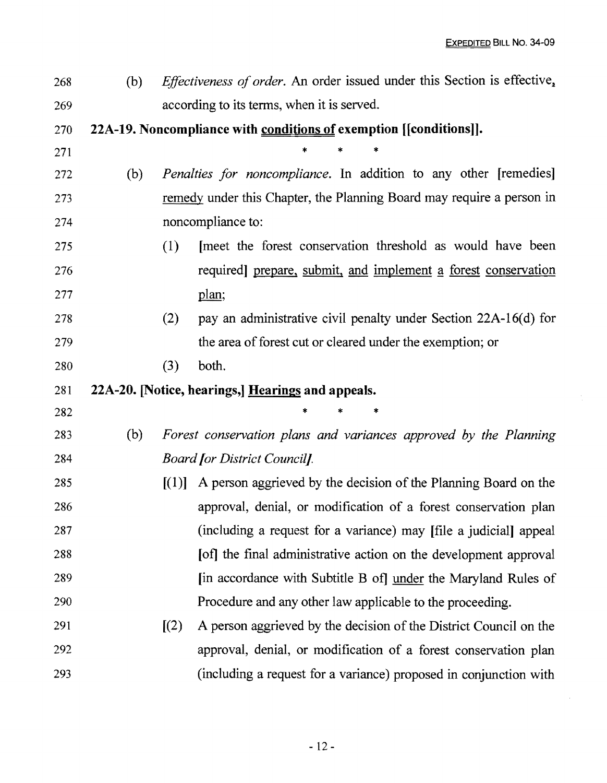$\bar{\psi}$ 

| 268 | (b) |                            | <i>Effectiveness of order.</i> An order issued under this Section is effective, |
|-----|-----|----------------------------|---------------------------------------------------------------------------------|
| 269 |     |                            | according to its terms, when it is served.                                      |
| 270 |     |                            | 22A-19. Noncompliance with conditions of exemption [[conditions]].              |
| 271 |     |                            |                                                                                 |
| 272 | (b) |                            | <i>Penalties for noncompliance</i> . In addition to any other [remedies]        |
| 273 |     |                            | remedy under this Chapter, the Planning Board may require a person in           |
| 274 |     |                            | noncompliance to:                                                               |
| 275 |     | (1)                        | meet the forest conservation threshold as would have been                       |
| 276 |     |                            | required] prepare, submit, and implement a forest conservation                  |
| 277 |     |                            | plan;                                                                           |
| 278 |     | (2)                        | pay an administrative civil penalty under Section 22A-16(d) for                 |
| 279 |     |                            | the area of forest cut or cleared under the exemption; or                       |
| 280 |     | (3)                        | both.                                                                           |
|     |     |                            |                                                                                 |
| 281 |     |                            | 22A-20. [Notice, hearings,] Hearings and appeals.                               |
| 282 |     |                            | *                                                                               |
| 283 | (b) |                            | Forest conservation plans and variances approved by the Planning                |
| 284 |     |                            | <b>Board for District Councilf.</b>                                             |
| 285 |     | $\lceil (1) \rceil$        | A person aggrieved by the decision of the Planning Board on the                 |
| 286 |     |                            | approval, denial, or modification of a forest conservation plan                 |
| 287 |     |                            | (including a request for a variance) may [file a judicial] appeal               |
| 288 |     |                            | [of] the final administrative action on the development approval                |
| 289 |     |                            | [in accordance with Subtitle B of] under the Maryland Rules of                  |
| 290 |     |                            | Procedure and any other law applicable to the proceeding.                       |
| 291 |     | $\left[\frac{2}{2}\right]$ | A person aggrieved by the decision of the District Council on the               |
| 292 |     |                            | approval, denial, or modification of a forest conservation plan                 |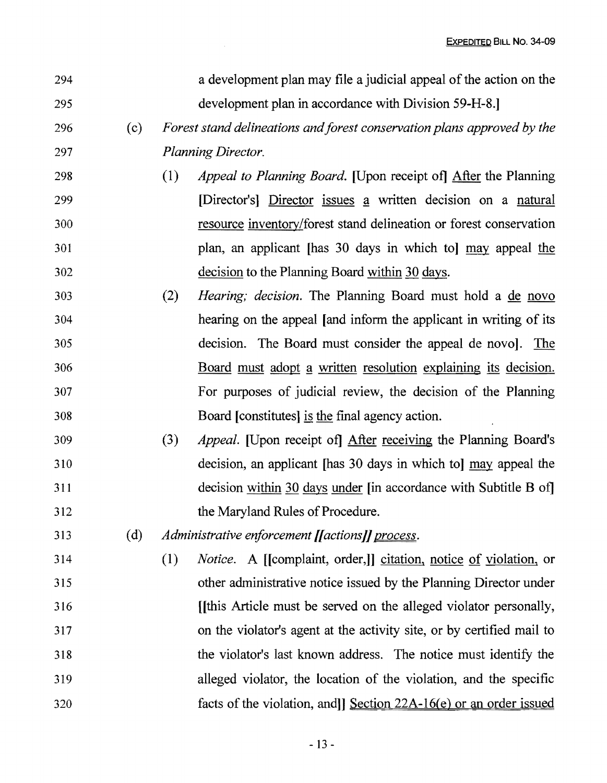| 294 |     |     | a development plan may file a judicial appeal of the action on the       |
|-----|-----|-----|--------------------------------------------------------------------------|
| 295 |     |     | development plan in accordance with Division 59-H-8.                     |
| 296 | (c) |     | Forest stand delineations and forest conservation plans approved by the  |
| 297 |     |     | Planning Director.                                                       |
| 298 |     | (1) | <i>Appeal to Planning Board.</i> [Upon receipt of] After the Planning    |
| 299 |     |     | [Director's] Director issues a written decision on a natural             |
| 300 |     |     | resource inventory/forest stand delineation or forest conservation       |
| 301 |     |     | plan, an applicant [has 30 days in which to] may appeal the              |
| 302 |     |     | decision to the Planning Board within 30 days.                           |
| 303 |     | (2) | <i>Hearing; decision.</i> The Planning Board must hold a <u>de novo</u>  |
| 304 |     |     | hearing on the appeal [and inform the applicant in writing of its        |
| 305 |     |     | decision. The Board must consider the appeal de novol. The               |
| 306 |     |     | <u>Board must adopt a written resolution explaining its decision.</u>    |
| 307 |     |     | For purposes of judicial review, the decision of the Planning            |
| 308 |     |     | Board [constitutes] is the final agency action.                          |
| 309 |     | (3) | Appeal. [Upon receipt of] After receiving the Planning Board's           |
| 310 |     |     | decision, an applicant [has 30 days in which to] may appeal the          |
| 311 |     |     | decision within 30 days under [in accordance with Subtitle B of]         |
| 312 |     |     | the Maryland Rules of Procedure.                                         |
| 313 | (d) |     | Administrative enforcement [[actions]] process.                          |
| 314 |     | (1) | <i>Notice.</i> A [[complaint, order,]] citation, notice of violation, or |
| 315 |     |     | other administrative notice issued by the Planning Director under        |
| 316 |     |     | [this Article must be served on the alleged violator personally,         |
| 317 |     |     | on the violator's agent at the activity site, or by certified mail to    |
| 318 |     |     | the violator's last known address. The notice must identify the          |
| 319 |     |     | alleged violator, the location of the violation, and the specific        |
| 320 |     |     | facts of the violation, and Section 22A-16(e) or an order issued         |

 $\sim 10^7$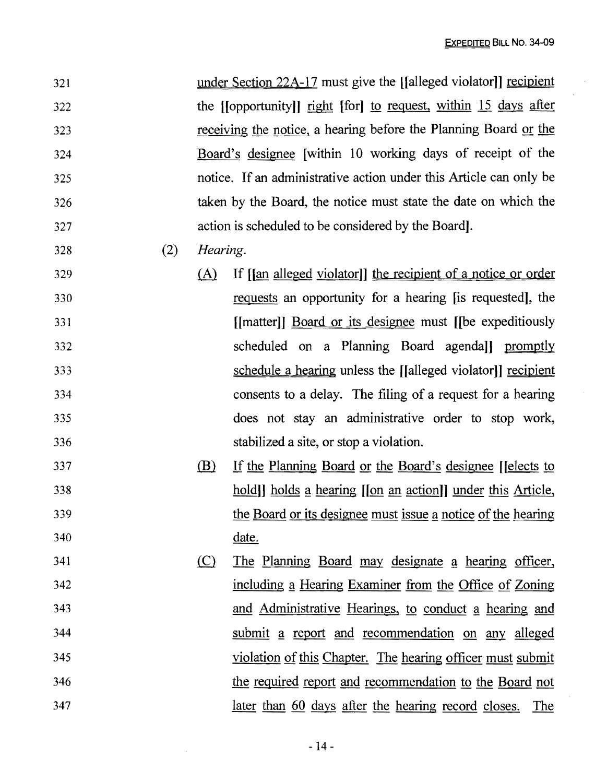$\bar{z}$ 

| 321 |     |          | under Section 22A-17 must give the [[alleged violator]] recipient  |
|-----|-----|----------|--------------------------------------------------------------------|
| 322 |     |          | the [[opportunity]] right [for] to request, within 15 days after   |
| 323 |     |          | receiving the notice, a hearing before the Planning Board or the   |
| 324 |     |          | Board's designee [within 10 working days of receipt of the         |
| 325 |     |          | notice. If an administrative action under this Article can only be |
| 326 |     |          | taken by the Board, the notice must state the date on which the    |
| 327 |     |          | action is scheduled to be considered by the Board.                 |
| 328 | (2) | Hearing. |                                                                    |
| 329 |     | (A)      | If [an alleged violator]] the recipient of a notice or order       |
| 330 |     |          | requests an opportunity for a hearing [is requested], the          |
| 331 |     |          | [[matter]] <b>Board or its designee</b> must [[be expeditiously    |
| 332 |     |          | scheduled on a Planning Board agendall promptly                    |
| 333 |     |          | schedule a hearing unless the [[alleged violator]] recipient       |
| 334 |     |          | consents to a delay. The filing of a request for a hearing         |
| 335 |     |          | does not stay an administrative order to stop work,                |
| 336 |     |          | stabilized a site, or stop a violation.                            |
| 337 |     | (B)      | If the Planning Board or the Board's designee [Jelects to          |
| 338 |     |          | hold) holds a hearing (on an action) under this Article,           |
| 339 |     |          | the Board or its designee must issue a notice of the hearing       |
| 340 |     |          | date.                                                              |
| 341 |     | (C)      | The Planning Board may designate a hearing officer,                |
| 342 |     |          | including a Hearing Examiner from the Office of Zoning             |
| 343 |     |          | and Administrative Hearings, to conduct a hearing and              |
| 344 |     |          | submit a report and recommendation on any alleged                  |
| 345 |     |          | violation of this Chapter. The hearing officer must submit         |
| 346 |     |          | the required report and recommendation to the Board not            |
| 347 |     |          | <u>later than 60 days after the hearing record closes. The</u>     |

 $\bar{z}$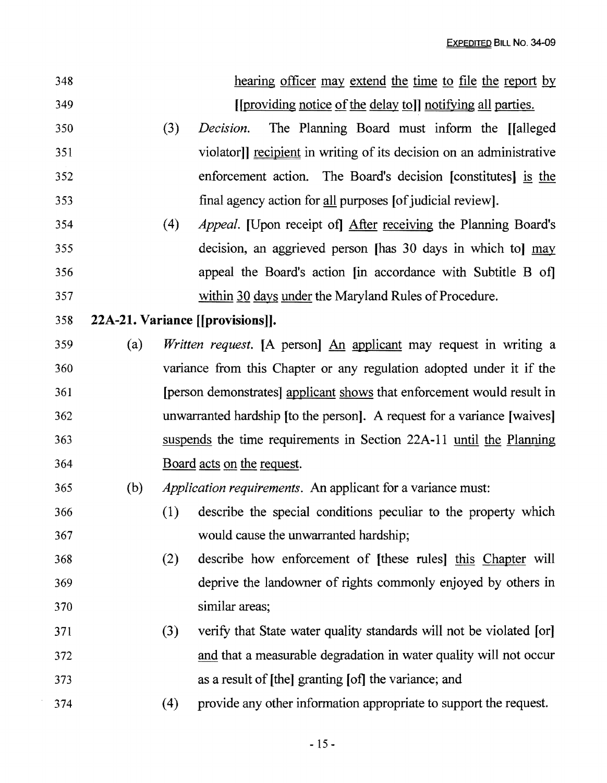| 348 |                                  |     | hearing officer may extend the time to file the report by                |  |  |  |  |
|-----|----------------------------------|-----|--------------------------------------------------------------------------|--|--|--|--|
| 349 |                                  |     | [[providing notice of the delay to]] notifying all parties.              |  |  |  |  |
| 350 |                                  | (3) | The Planning Board must inform the [[alleged]<br>Decision.               |  |  |  |  |
| 351 |                                  |     | violator]] recipient in writing of its decision on an administrative     |  |  |  |  |
| 352 |                                  |     | enforcement action. The Board's decision [constitutes] is the            |  |  |  |  |
| 353 |                                  |     | final agency action for all purposes [of judicial review].               |  |  |  |  |
| 354 |                                  | (4) | <i>Appeal.</i> [Upon receipt of] After receiving the Planning Board's    |  |  |  |  |
| 355 |                                  |     | decision, an aggrieved person [has 30 days in which to] may              |  |  |  |  |
| 356 |                                  |     | appeal the Board's action [in accordance with Subtitle B of]             |  |  |  |  |
| 357 |                                  |     | within 30 days under the Maryland Rules of Procedure.                    |  |  |  |  |
| 358 | 22A-21. Variance [[provisions]]. |     |                                                                          |  |  |  |  |
| 359 | (a)                              |     | <i>Written request.</i> [A person] An applicant may request in writing a |  |  |  |  |
| 360 |                                  |     | variance from this Chapter or any regulation adopted under it if the     |  |  |  |  |
| 361 |                                  |     | [person demonstrates] applicant shows that enforcement would result in   |  |  |  |  |
| 362 |                                  |     | unwarranted hardship [to the person]. A request for a variance [waives]  |  |  |  |  |
| 363 |                                  |     | suspends the time requirements in Section 22A-11 until the Planning      |  |  |  |  |
| 364 |                                  |     | Board acts on the request.                                               |  |  |  |  |
| 365 | (b)                              |     | <i>Application requirements.</i> An applicant for a variance must:       |  |  |  |  |
| 366 |                                  | (1) | describe the special conditions peculiar to the property which           |  |  |  |  |
| 367 |                                  |     | would cause the unwarranted hardship;                                    |  |  |  |  |
| 368 |                                  | (2) | describe how enforcement of [these rules] this Chapter will              |  |  |  |  |
| 369 |                                  |     | deprive the landowner of rights commonly enjoyed by others in            |  |  |  |  |
| 370 |                                  |     | similar areas;                                                           |  |  |  |  |
| 371 |                                  | (3) | verify that State water quality standards will not be violated [or]      |  |  |  |  |
| 372 |                                  |     | and that a measurable degradation in water quality will not occur        |  |  |  |  |
| 373 |                                  |     | as a result of [the] granting [of] the variance; and                     |  |  |  |  |
| 374 |                                  | (4) | provide any other information appropriate to support the request.        |  |  |  |  |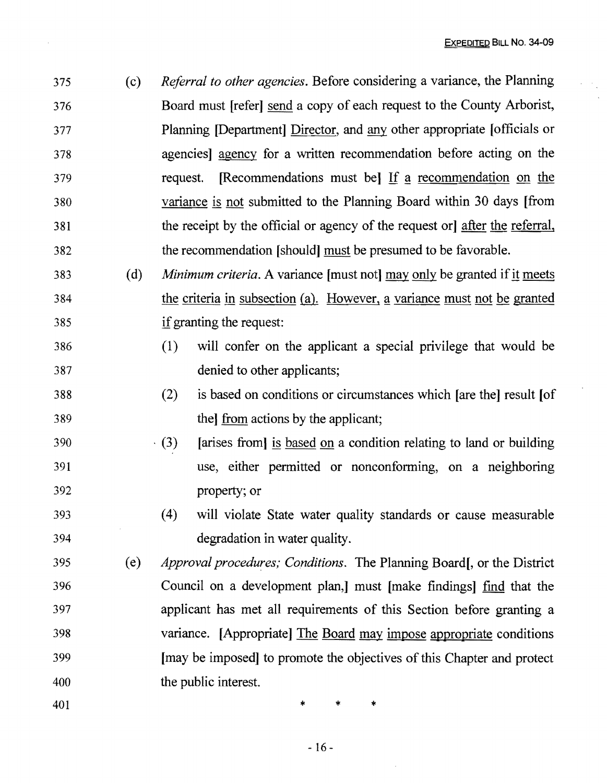375 (c) *Referral to other agencies.* Before considering a variance, the Planning 376 Board must [refer] send a copy of each request to the County Arborist, 377 Planning [Department] Director, and any other appropriate [officials or 378 agencies] agency for a written recommendation before acting on the 379 request. [Recommendations must be] If a recommendation on the 380 variance is not submitted to the Planning Board within 30 days [from 381 the receipt by the official or agency of the request or] after the referral, 382 the recommendation [should] must be presumed to be favorable.

- 383 (d) *Minimum criteria.* A variance [must not] may only be granted ifit meets 384 the criteria in subsection (a). However, a variance must not be granted 385 ifgranting the request:
- 386 (1 ) will confer on the applicant a special privilege that would be 387 denied to other applicants;
- 388 (2) is based on conditions or circumstances which [are the] result [of 389 the] from actions by the applicant;
- $390$  . (3) [arises from] is based on a condition relating to land or building 391 use, either permitted or nonconforming, on a neighboring 392 property; or
- 393 (4) will violate State water quality standards or cause measurable 394 degradation in water quality.
- 395 (e) *Approval procedures; Conditions.* The Planning Board[, or the District 396 Council on a development plan,] must [make findings] find that the 397 applicant has met all requirements of this Section before granting a 398 variance. [Appropriate] The Board may impose appropriate conditions 399 [may be imposed] to promote the objectives of this Chapter and protect 400 the public interest.
- 

 $401$  \* \* \*